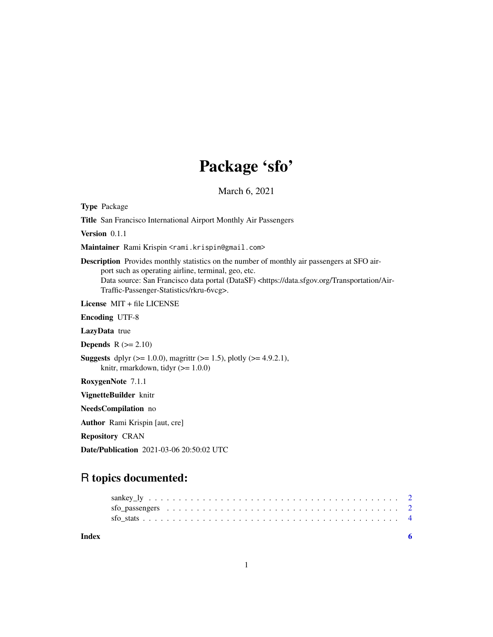# Package 'sfo'

March 6, 2021

Type Package

Title San Francisco International Airport Monthly Air Passengers

Version 0.1.1

Maintainer Rami Krispin <rami.krispin@gmail.com>

Description Provides monthly statistics on the number of monthly air passengers at SFO airport such as operating airline, terminal, geo, etc. Data source: San Francisco data portal (DataSF) <https://data.sfgov.org/Transportation/Air-Traffic-Passenger-Statistics/rkru-6vcg>.

License MIT + file LICENSE

Encoding UTF-8

LazyData true

**Depends**  $R$  ( $>= 2.10$ )

**Suggests** dplyr ( $>= 1.0.0$ ), magrittr ( $>= 1.5$ ), plotly ( $>= 4.9.2.1$ ), knitr, rmarkdown, tidyr  $(>= 1.0.0)$ 

RoxygenNote 7.1.1

VignetteBuilder knitr

NeedsCompilation no

Author Rami Krispin [aut, cre]

Repository CRAN

Date/Publication 2021-03-06 20:50:02 UTC

# R topics documented:

**Index** [6](#page-5-0) **6**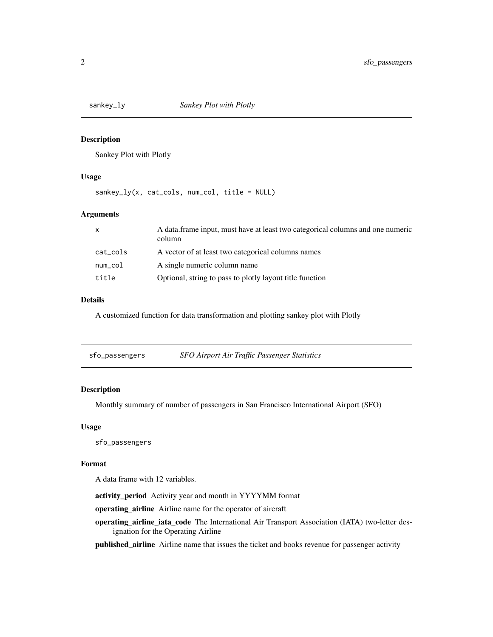<span id="page-1-0"></span>

#### Description

Sankey Plot with Plotly

## Usage

sankey\_ly(x, cat\_cols, num\_col, title = NULL)

#### Arguments

| $\mathsf{x}$ | A data frame input, must have at least two categorical columns and one numeric<br>column |
|--------------|------------------------------------------------------------------------------------------|
| cat_cols     | A vector of at least two categorical columns names                                       |
| num_col      | A single numeric column name                                                             |
| title        | Optional, string to pass to plotly layout title function                                 |

#### Details

A customized function for data transformation and plotting sankey plot with Plotly

| sfo_passengers | SFO Airport Air Traffic Passenger Statistics |
|----------------|----------------------------------------------|
|                |                                              |

## Description

Monthly summary of number of passengers in San Francisco International Airport (SFO)

#### Usage

sfo\_passengers

# Format

A data frame with 12 variables.

activity\_period Activity year and month in YYYYMM format

operating\_airline Airline name for the operator of aircraft

operating\_airline\_iata\_code The International Air Transport Association (IATA) two-letter designation for the Operating Airline

published\_airline Airline name that issues the ticket and books revenue for passenger activity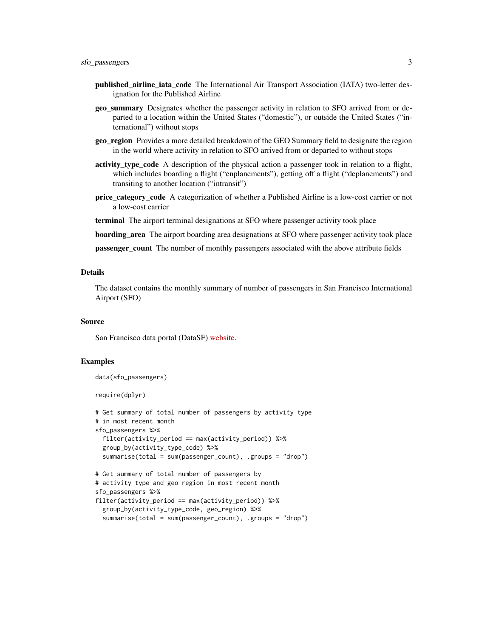- published\_airline\_iata\_code The International Air Transport Association (IATA) two-letter designation for the Published Airline
- geo summary Designates whether the passenger activity in relation to SFO arrived from or departed to a location within the United States ("domestic"), or outside the United States ("international") without stops
- geo\_region Provides a more detailed breakdown of the GEO Summary field to designate the region in the world where activity in relation to SFO arrived from or departed to without stops
- activity\_type\_code A description of the physical action a passenger took in relation to a flight, which includes boarding a flight ("enplanements"), getting off a flight ("deplanements") and transiting to another location ("intransit")
- **price category code** A categorization of whether a Published Airline is a low-cost carrier or not a low-cost carrier
- terminal The airport terminal designations at SFO where passenger activity took place
- boarding\_area The airport boarding area designations at SFO where passenger activity took place

passenger\_count The number of monthly passengers associated with the above attribute fields

#### Details

The dataset contains the monthly summary of number of passengers in San Francisco International Airport (SFO)

#### Source

San Francisco data portal (DataSF) [website.](https://data.sfgov.org/Transportation/Air-Traffic-Passenger-Statistics/rkru-6vcg)

#### Examples

```
data(sfo_passengers)
```
require(dplyr)

```
# Get summary of total number of passengers by activity type
# in most recent month
sfo_passengers %>%
 filter(activity_period == max(activity_period)) %>%
 group_by(activity_type_code) %>%
 summarise(total = sum(passenger_count), .groups = "drop")
```

```
# Get summary of total number of passengers by
# activity type and geo region in most recent month
sfo_passengers %>%
filter(activity_period == max(activity_period)) %>%
 group_by(activity_type_code, geo_region) %>%
  summarise(total = sum(passenger_count), .groups = "drop")
```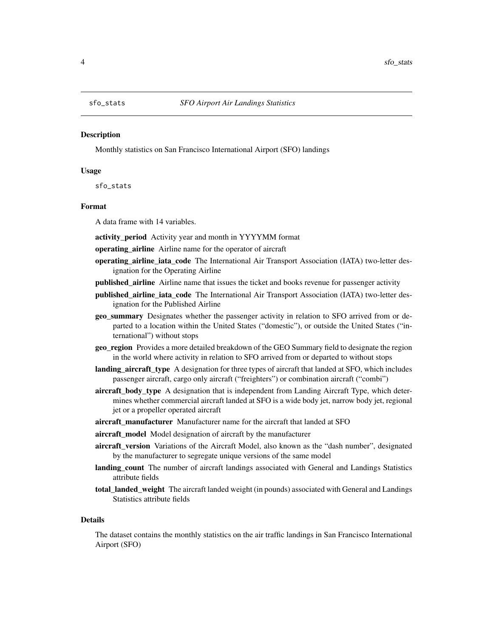<span id="page-3-0"></span>

#### **Description**

Monthly statistics on San Francisco International Airport (SFO) landings

#### Usage

sfo\_stats

#### Format

A data frame with 14 variables.

- activity\_period Activity year and month in YYYYMM format
- operating airline Airline name for the operator of aircraft
- operating\_airline\_iata\_code The International Air Transport Association (IATA) two-letter designation for the Operating Airline
- published\_airline Airline name that issues the ticket and books revenue for passenger activity
- published airline iata code The International Air Transport Association (IATA) two-letter designation for the Published Airline
- geo\_summary Designates whether the passenger activity in relation to SFO arrived from or departed to a location within the United States ("domestic"), or outside the United States ("international") without stops
- geo\_region Provides a more detailed breakdown of the GEO Summary field to designate the region in the world where activity in relation to SFO arrived from or departed to without stops
- **landing aircraft type** A designation for three types of aircraft that landed at SFO, which includes passenger aircraft, cargo only aircraft ("freighters") or combination aircraft ("combi")
- aircraft body type A designation that is independent from Landing Aircraft Type, which determines whether commercial aircraft landed at SFO is a wide body jet, narrow body jet, regional jet or a propeller operated aircraft
- aircraft manufacturer Manufacturer name for the aircraft that landed at SFO
- aircraft\_model Model designation of aircraft by the manufacturer
- aircraft\_version Variations of the Aircraft Model, also known as the "dash number", designated by the manufacturer to segregate unique versions of the same model
- landing\_count The number of aircraft landings associated with General and Landings Statistics attribute fields
- total\_landed\_weight The aircraft landed weight (in pounds) associated with General and Landings Statistics attribute fields

#### Details

The dataset contains the monthly statistics on the air traffic landings in San Francisco International Airport (SFO)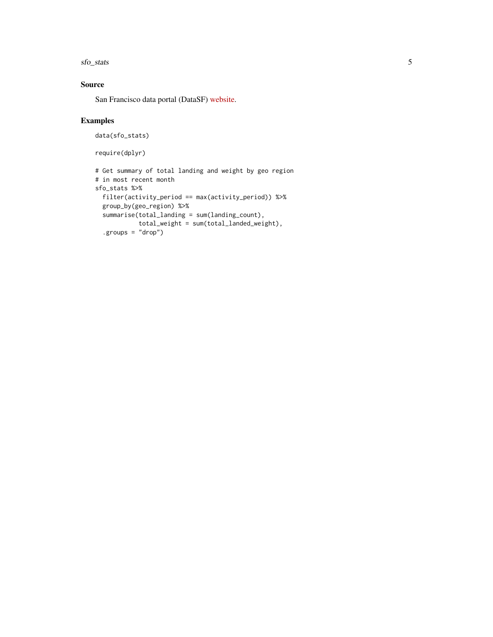sfo\_stats 5

# Source

San Francisco data portal (DataSF) [website.](https://data.sfgov.org/Transportation/Air-Traffic-Landings-Statistics/fpux-q53t)

# Examples

```
data(sfo_stats)
```
require(dplyr)

```
# Get summary of total landing and weight by geo region
# in most recent month
sfo_stats %>%
 filter(activity_period == max(activity_period)) %>%
 group_by(geo_region) %>%
  summarise(total_landing = sum(landing_count),
            total_weight = sum(total_landed_weight),
  .groups = "drop")
```